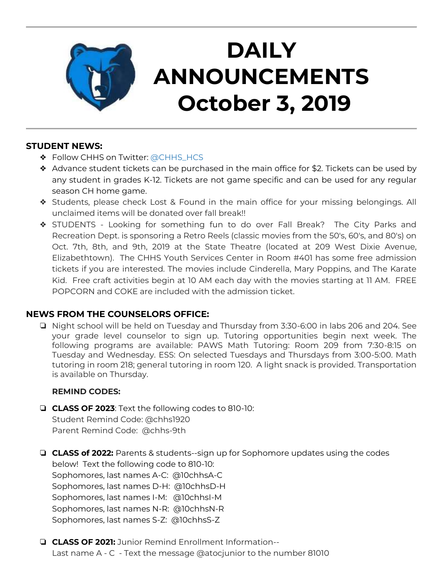

## **DAILY ANNOUNCEMENTS October 3, 2019**

### **STUDENT NEWS:**

- ❖ Follow CHHS on Twitter: [@CHHS\\_HCS](https://twitter.com/CHHS_HCS)
- ❖ Advance student tickets can be purchased in the main office for \$2. Tickets can be used by any student in grades K-12. Tickets are not game specific and can be used for any regular season CH home game.
- ❖ Students, please check Lost & Found in the main office for your missing belongings. All unclaimed items will be donated over fall break!!
- ❖ STUDENTS Looking for something fun to do over Fall Break? The City Parks and Recreation Dept. is sponsoring a Retro Reels (classic movies from the 50's, 60's, and 80's) on Oct. 7th, 8th, and 9th, 2019 at the State Theatre (located at 209 West Dixie Avenue, Elizabethtown). The CHHS Youth Services Center in Room #401 has some free admission tickets if you are interested. The movies include Cinderella, Mary Poppins, and The Karate Kid. Free craft activities begin at 10 AM each day with the movies starting at 11 AM. FREE POPCORN and COKE are included with the admission ticket.

### **NEWS FROM THE COUNSELORS OFFICE:**

❏ Night school will be held on Tuesday and Thursday from 3:30-6:00 in labs 206 and 204. See your grade level counselor to sign up. Tutoring opportunities begin next week. The following programs are available: PAWS Math Tutoring: Room 209 from 7:30-8:15 on Tuesday and Wednesday. ESS: On selected Tuesdays and Thursdays from 3:00-5:00. Math tutoring in room 218; general tutoring in room 120. A light snack is provided. Transportation is available on Thursday.

#### **REMIND CODES:**

- ❏ **CLASS OF 2023**: Text the following codes to 810-10: Student Remind Code: @chhs1920 Parent Remind Code: @chhs-9th
- ❏ **CLASS of 2022:** Parents & students--sign up for Sophomore updates using the codes below! Text the following code to 810-10: Sophomores, last names A-C: @10chhsA-C Sophomores, last names D-H: @10chhsD-H Sophomores, last names I-M: @10chhsI-M Sophomores, last names N-R: @10chhsN-R Sophomores, last names S-Z: @10chhsS-Z
- ❏ **CLASS OF 2021:** Junior Remind Enrollment Information-- Last name A - C - Text the message @atocjunior to the number 81010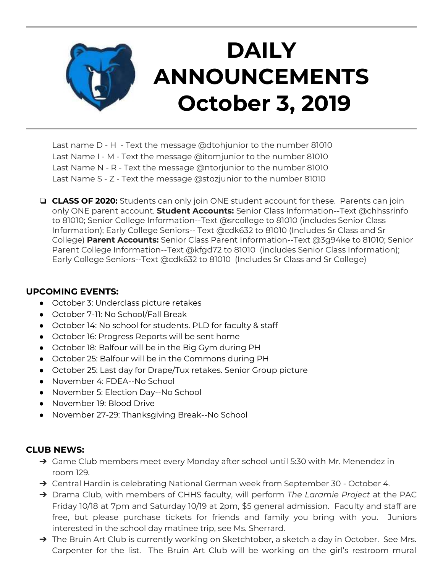

Last name D - H - Text the message @dtohjunior to the number 81010 Last Name I - M - Text the message @itomjunior to the number 81010 Last Name N - R - Text the message @ntorjunior to the number 81010 Last Name S - Z - Text the message @stozjunior to the number 81010

❏ **CLASS OF 2020:** Students can only join ONE student account for these. Parents can join only ONE parent account. **Student Accounts:** Senior Class Information--Text @chhssrinfo to 81010; Senior College Information--Text @srcollege to 81010 (includes Senior Class Information); Early College Seniors-- Text @cdk632 to 81010 (Includes Sr Class and Sr College) **Parent Accounts:** Senior Class Parent Information--Text @3g94ke to 81010; Senior Parent College Information--Text @kfgd72 to 81010 (includes Senior Class Information); Early College Seniors--Text @cdk632 to 81010 (Includes Sr Class and Sr College)

#### **UPCOMING EVENTS:**

- October 3: Underclass picture retakes
- October 7-11: No School/Fall Break
- October 14: No school for students. PLD for faculty & staff
- October 16: Progress Reports will be sent home
- October 18: Balfour will be in the Big Gym during PH
- October 25: Balfour will be in the Commons during PH
- October 25: Last day for Drape/Tux retakes. Senior Group picture
- November 4: FDEA--No School
- November 5: Election Day--No School
- November 19: Blood Drive
- November 27-29: Thanksgiving Break--No School

#### **CLUB NEWS:**

- → Game Club members meet every Monday after school until 5:30 with Mr. Menendez in room 129.
- → Central Hardin is celebrating National German week from September 30 October 4.
- ➔ Drama Club, with members of CHHS faculty, will perform *The Laramie Project* at the PAC Friday 10/18 at 7pm and Saturday 10/19 at 2pm, \$5 general admission. Faculty and staff are free, but please purchase tickets for friends and family you bring with you. Juniors interested in the school day matinee trip, see Ms. Sherrard.
- → The Bruin Art Club is currently working on Sketchtober, a sketch a day in October. See Mrs. Carpenter for the list. The Bruin Art Club will be working on the girl's restroom mural